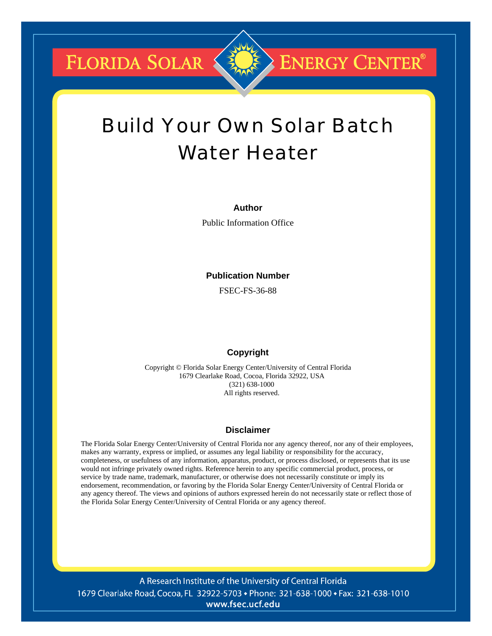FLORIDA SOLAR

# Build Your Own Solar Batch Water Heater

**ENERGY CENTER®** 

## **Author**

Public Information Office

## **Publication Number**

FSEC-FS-36-88

# **Copyright**

Copyright © Florida Solar Energy Center/University of Central Florida 1679 Clearlake Road, Cocoa, Florida 32922, USA (321) 638-1000 All rights reserved.

# **Disclaimer**

The Florida Solar Energy Center/University of Central Florida nor any agency thereof, nor any of their employees, makes any warranty, express or implied, or assumes any legal liability or responsibility for the accuracy, completeness, or usefulness of any information, apparatus, product, or process disclosed, or represents that its use would not infringe privately owned rights. Reference herein to any specific commercial product, process, or service by trade name, trademark, manufacturer, or otherwise does not necessarily constitute or imply its endorsement, recommendation, or favoring by the Florida Solar Energy Center/University of Central Florida or any agency thereof. The views and opinions of authors expressed herein do not necessarily state or reflect those of the Florida Solar Energy Center/University of Central Florida or any agency thereof.

A Research Institute of the University of Central Florida 1679 Clearlake Road, Cocoa, FL 32922-5703 • Phone: 321-638-1000 • Fax: 321-638-1010 www.fsec.ucf.edu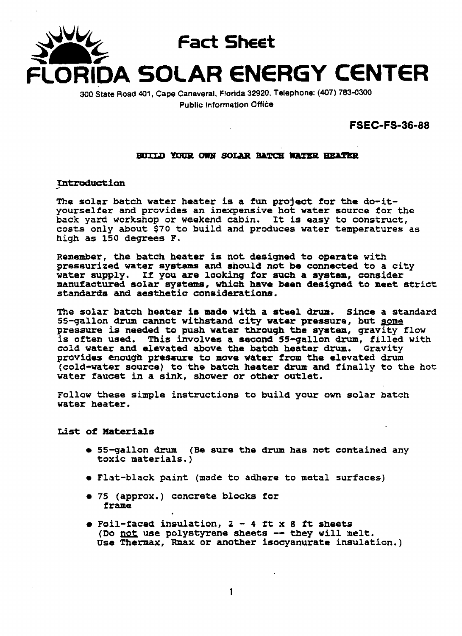

**300 State Road 401, Cape Canaveral, Florida 32920, Telephone: (407) 7834300 Public Information Office** 

**FSEC-FS-36-88** 

#### BUILD YOUR OWN SOLAR BATCH WATER HEATER

Introduction

**The solar batch water heater is a fun project for the do-ityourselfer and provides an inexpensive hot water source for the back yard workshop or weekend cabin, It is easy to construct, costs only about \$70 to build and produces water temperatures as high as 150 degrees F,** 

**Remember, the batch heater is not designed to oparate with pressurized water systm and ahould not be connected to a city water supply, If you are looking for such a system, consider manufactured solar systems, which have been designad to meet strict standards and aesthetic considerations.** 

**The solar batch heater im made with a stuel drun. Since a standard 55-gallon drum cannot withstand city water pressure, but some pressure is needed to push water through the system, gravity flow is often used, This involves a second 55-gallon drum, filled with cold water and elevated above the batch heater drum. Gravity provides enough pressure to move water from the elevated drum**   $\left( \text{cold-water source} \right)$  to the batch heater drum and finally to the hot **water faucet in a sink, shower ox other outlet.** 

**Follow these simple instructions to build your om solar batch water heater.** 

**List of Materials** 

- **55-gallon drum (Be sure the drvm has not contained any toxic materials.)**
- **Flat-black paint (made to adhere to metal surfaces)**
- **<sup>75</sup>(approx.** ) **concrete blocks** for **f ram=**
- **<sup>a</sup>Foil-faced insulation, 2 4 ft x 8 ft sheets (Do** & **use polystyrene sheets** -- **they will melt. Use** *Thermax,* **Rmax or another isocyanurate insulation.)**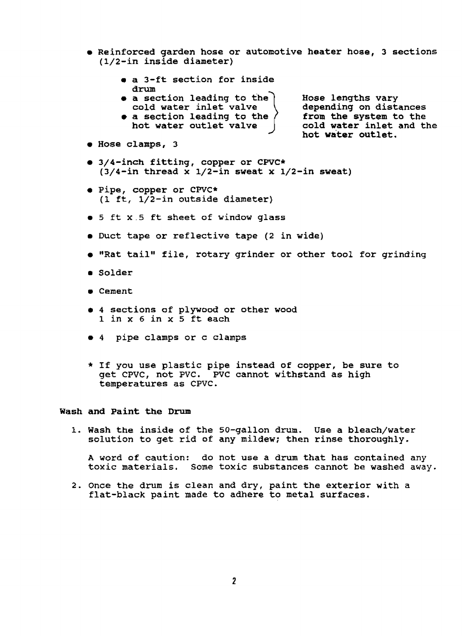- **a Reinforced garden hose or automotive heater hose, 3 sections (1/2-in inside diameter)** 
	- **a 3-ft section** for **inside drum**
	- **e** a section leading to the **Hose lengths vary** cold water inlet valve **depending** on distances cold water inlet valve \ depending on distances a section leading to the \ from the system to the
	- **hot water outlet valve cold water inlet and the**

**a section leading to the from the system to the hot water outlet.** 

- **Hose clamps, 3**
- **3/4-inch fitting, copper or CPVC\* (3/4-in thread x 1/2-in sweat x 1/2-in sweat)**
- **Pipe, copper or CWC\* (1 ft, 1/2-in outside diameter}**
- 5 **ft x.5 ft sheet of window glass**
- **Duct tape or reflective tape (2 in wide)**
- **a "Rat tail" file, rotary grinder or other tool** for **grinding**
- **Solder**
- **Cement**
- **rn 4 sections of plywood or other wood 1 in x** *6* **in x 5 ft each**
- **4 pipe clamps or c clamps**
- \* **If you use plastic pipe instead of copper, be sure to get CPVC,** not **PVC. PVC** cannot **withstand as** high **temperatures as CPVC.**

#### **Wash and paint the Drum**

**1. Wash the inside of the SO-gallon drum. Use a bleach/water solution to get rid of any mildew; then rinse thoroughly.** 

**A word of caution: do** not **use a drum that has contained** any **toxic materials. Some toxic substances** cannot **be washed away.** 

**2. Once the drum is clean and dry, paint the exterior with a flat-black paint made to adhere to metal surfaces.**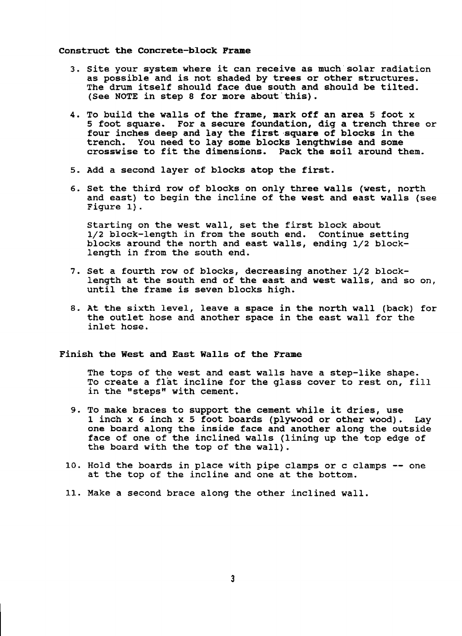**Construct the Concrete-block Frame** 

- **3. Site your system where it can receive as much'solar radiation as possible and is not shaded by trees or other structures. The drum itself should face due south and should be tilted. (See NOTE** in **step 8** for **more about'this).**
- **4, To build the walls of the frame, mark off an area 5** foot **x <sup>5</sup>foot square. For a secure foundation, dig a trench three or four inches deep and lay the first square of blocks in the trench. You need to lay some blocks lengthwise and some crosswise to fit the dimensions. Pack the soil around them.**
- **5. Add a second layer of blocks atop the first.**
- *6.* **Set the** third **row of blocks on only three walls (west,** north **and east) to begin the incline of the west and east walls (see Figure 1).**

**Starting on the west wall, set the first block about 1/2 block-length in from the south end. Continue setting blocks around the** north **and east walls, ending l/z blocklength in from the south end.** 

- **7. Set a fourth row of blocks, decreasing another 1/2 block**length **at the south end of the east and west walls, and so on, until the frame is seven blocks high.**
- **8. At the sixth level, leave a space in the north wall (back) for the outlet hose and another space in the east wall** for **the inlet hose.**

#### **Finish the West and East Walls of the Frame**

**The tops of the west and east walls have a step-like shape. To create a flat incline** for **the glass cover to rest on, fill**  in the "steps" with cement.

- **9. To make braces to support the cement while it dries, use 1 inch x 6 inch x 5 foot boards (plywood ox other wood). Lay one board along the inside face and another along the outside face of one of the inclined walls** (lining **up the top edge of the board with the top of the wall).**
- **10. Hold the boards in place with pipe clamps or c clamps** -- **one at the** top **of the incline and one at the** bottom.
- **11. Make a second brace along the other inclined wall,**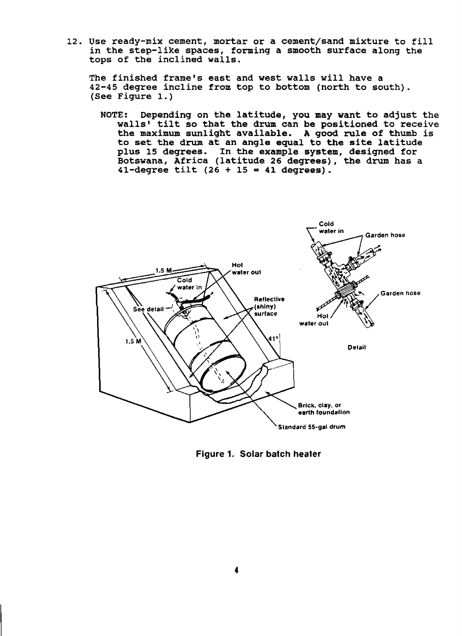**12. Use ready-mix cement, mortar or a cement/sand mixture to fill in the step-like spaces, forming a smooth surface along the tops of the inclined walls.** 

**The finished frame's east and west walls will have a 42-45 degree incline from top to bottom** (north **to south). (See Figure 1.** )

**NOTE: Depending on the latitude, you may want to adjust the walls'** tilt **so that the drum can be positioned to receive the maximum sunlight available. A good rule of thumb is to set the drum at an angle equal to the site latitude plus 15 degrees. In the example system, designed** for **Botswana, Africa (latitude 26 degrees), the drum has a 41-degree** tilt **(26** + **15** = **41 degrees).** 



**Figure 1, Solar batch heater**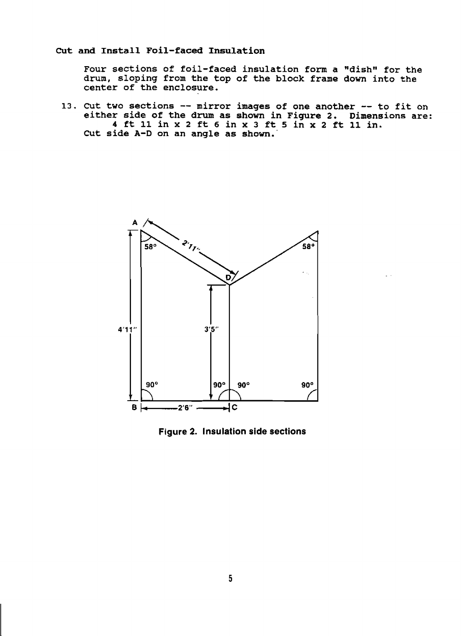## Cut and Install Foil-faced Insulation

**Four sections of foil-faced insulation form a "dishw for the drum, sloping from the top of the block frame down into the center of the enclosure.** 

**13.** Cut **two sections** -- mirror **images of one another** -- **to** fit **on either side of the drum as shown in Figure 2, Dimensions are: 4 ft 11 in x 2 ft 6 in x 3 ft 5 in x 2 ft 11 in. Cut side A-D on an angle as shown.'** 



**Figure 2. Insulation side sections**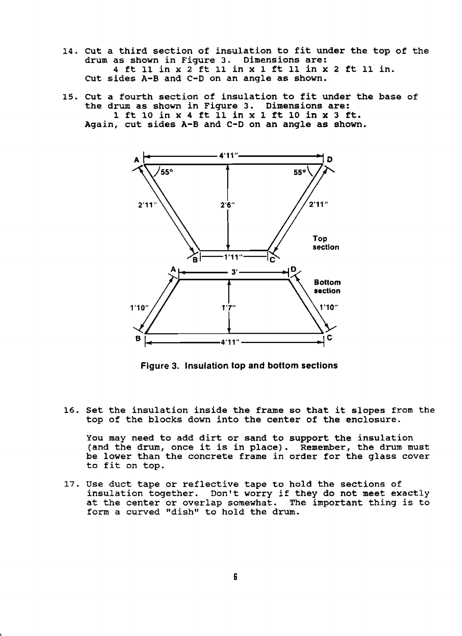- **14. Cut a third section of insulation to fit under the top of the drum as shown in Figure 3. Dimensions are: 4 ft 11 in x 2 ft 11 in x 1 ft 11 in x 2 ft 11 in. Cut sides A-B and C-D on an angle as shown.**
- **15, Cut a fourth section of insulation to fit under the base of the drum as shown in Figure 3. Dimensions are: 1 ft 10 in x 4 ft 11 in x 1 ft 10 in x 3 ft. Again, cut sides A-B and C-D on an angle as shown.**



**Figure 3. Insulation top and bottom sections** 

**16. Set the insulation inside the frame so that it slopes from the top of the blocks down** into **the center of the enclosure.** 

**You may need to add dirt or sand to support the insulation (and the drum, once it is in place). Remember, the drum must be lower than the concrete frame in order for the glass cover to fit on top.** 

**17. Use duct tape or reflective tape to hold the sections of insulation together. Don't worry if they do not meet exactly at the center or overlap somewhat. The important** thing **is to**  form a curved "dish" to hold the drum.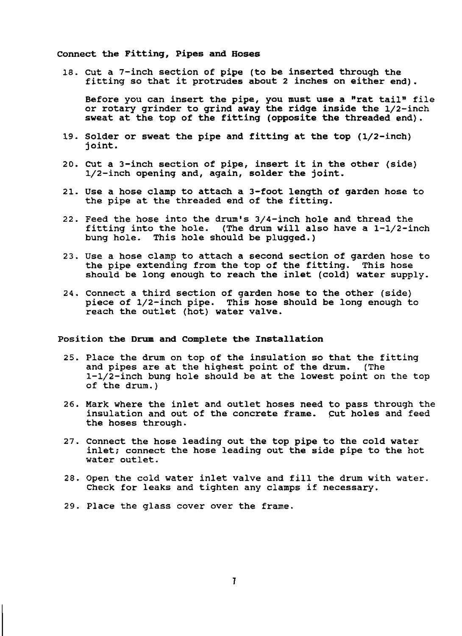#### **Connect the Fitting, Pipes and Hoses**

**18. Cut a 7-inch section of pipe (to be inserted through the fitting so that it protrudes about 2 inches on either end).** 

**Before you can insert the pipe, you must use a "rat tailw file or rotary grinder to grind away the ridge inside the 1/2-inch sweat at the top of the fitting (opposite the threaded end).** 

- **19. Solder or sweat the pipe and fitting at the top (1/2-inch) j oint** .
- **20, Cut a 3-inch section of pipe, insert it in the other (side) 1/2-inch opening and, again, solder the** joint.
- **21. Use a hose clamp to attach a 3-foot length of garden hose to the pipe at the threaded end of the fitting.**
- **22. Feed the hose into the drum's 3/4-inch hole and thread the fitting into the hole. (The drum will also have a 1-1/2-inch bung hole. This hole should be plugged.)**
- **23. Use a hose clamp to attach a second section of garden hose to the pipe extending from the top of the fitting. This hose should be long enough to reach the inlet (cold) water supply.**
- **24.** Connect **a third section of garden hose to the other (side) piece of 1/2-inch pipe. This hose should be long enough to reach the outlet (hot) water valve.**

#### **Position the Drum and Complete the Installation**

- **25. Place the drum on top of the insulation so that the fitting and pipes are at the highest point of the drum. (The 1-1/2-inch bung hole should be at the lowest point on the** top **of the drum.)**
- **26. Mark where the inlet and outlet hoses need to pass through** the **insulation and out of the concrete frame. cut holes and feed the hoses through.**
- **27. Connect the hose leading out the top pipe to the cold water inlet; connect the hose leading out the side pipe to the** hot **water outlet.**
- **28. Open the cold water inlet valve and fill the drum** with **water. Check for leaks and tighten any clamps if necessary.**
- **29. Place the glass** cover **over the** frame.